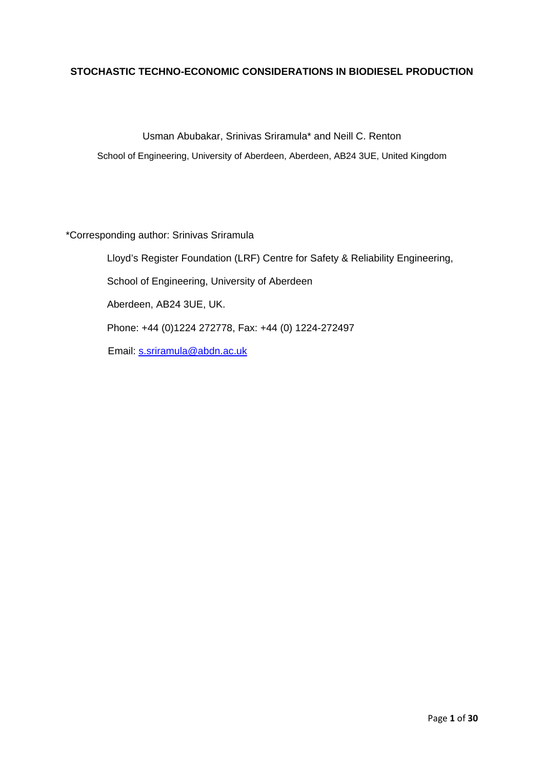# **STOCHASTIC TECHNO-ECONOMIC CONSIDERATIONS IN BIODIESEL PRODUCTION**

Usman Abubakar, Srinivas Sriramula\* and Neill C. Renton School of Engineering, University of Aberdeen, Aberdeen, AB24 3UE, United Kingdom

# \*Corresponding author: Srinivas Sriramula

 Lloyd's Register Foundation (LRF) Centre for Safety & Reliability Engineering, School of Engineering, University of Aberdeen Aberdeen, AB24 3UE, UK. Phone: +44 (0)1224 272778, Fax: +44 (0) 1224-272497 Email: [s.sriramula@abdn.ac.uk](mailto:s.sriramula@abdn.ac.uk)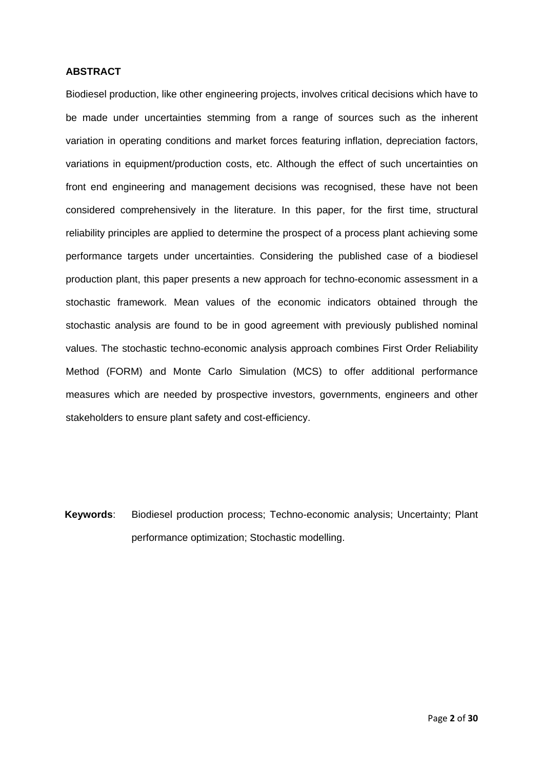## **ABSTRACT**

Biodiesel production, like other engineering projects, involves critical decisions which have to be made under uncertainties stemming from a range of sources such as the inherent variation in operating conditions and market forces featuring inflation, depreciation factors, variations in equipment/production costs, etc. Although the effect of such uncertainties on front end engineering and management decisions was recognised, these have not been considered comprehensively in the literature. In this paper, for the first time, structural reliability principles are applied to determine the prospect of a process plant achieving some performance targets under uncertainties. Considering the published case of a biodiesel production plant, this paper presents a new approach for techno-economic assessment in a stochastic framework. Mean values of the economic indicators obtained through the stochastic analysis are found to be in good agreement with previously published nominal values. The stochastic techno-economic analysis approach combines First Order Reliability Method (FORM) and Monte Carlo Simulation (MCS) to offer additional performance measures which are needed by prospective investors, governments, engineers and other stakeholders to ensure plant safety and cost-efficiency.

**Keywords**: Biodiesel production process; Techno-economic analysis; Uncertainty; Plant performance optimization; Stochastic modelling.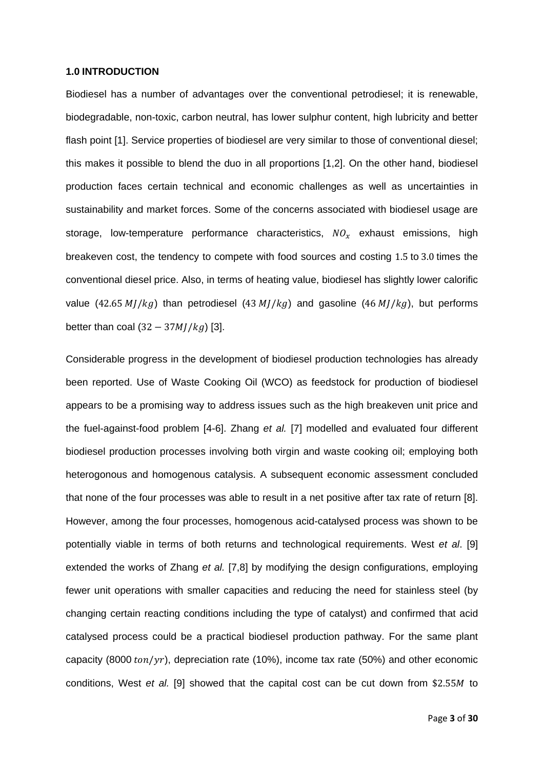#### **1.0 INTRODUCTION**

Biodiesel has a number of advantages over the conventional petrodiesel; it is renewable, biodegradable, non-toxic, carbon neutral, has lower sulphur content, high lubricity and better flash point [1]. Service properties of biodiesel are very similar to those of conventional diesel; this makes it possible to blend the duo in all proportions [1,2]. On the other hand, biodiesel production faces certain technical and economic challenges as well as uncertainties in sustainability and market forces. Some of the concerns associated with biodiesel usage are storage, low-temperature performance characteristics,  $NO<sub>x</sub>$  exhaust emissions, high breakeven cost, the tendency to compete with food sources and costing 1.5 to 3.0 times the conventional diesel price. Also, in terms of heating value, biodiesel has slightly lower calorific value (42.65  $M/(kg)$  than petrodiesel (43  $M/(kg)$  and gasoline (46  $M/(kg)$ , but performs better than coal  $(32 - 37M]/kg$ ) [3].

Considerable progress in the development of biodiesel production technologies has already been reported. Use of Waste Cooking Oil (WCO) as feedstock for production of biodiesel appears to be a promising way to address issues such as the high breakeven unit price and the fuel-against-food problem [4-6]. Zhang *et al.* [7] modelled and evaluated four different biodiesel production processes involving both virgin and waste cooking oil; employing both heterogonous and homogenous catalysis. A subsequent economic assessment concluded that none of the four processes was able to result in a net positive after tax rate of return [8]. However, among the four processes, homogenous acid-catalysed process was shown to be potentially viable in terms of both returns and technological requirements. West *et al*. [9] extended the works of Zhang *et al.* [7,8] by modifying the design configurations, employing fewer unit operations with smaller capacities and reducing the need for stainless steel (by changing certain reacting conditions including the type of catalyst) and confirmed that acid catalysed process could be a practical biodiesel production pathway. For the same plant capacity (8000  $tan/yr$ ), depreciation rate (10%), income tax rate (50%) and other economic conditions, West et al. [9] showed that the capital cost can be cut down from \$2.55M to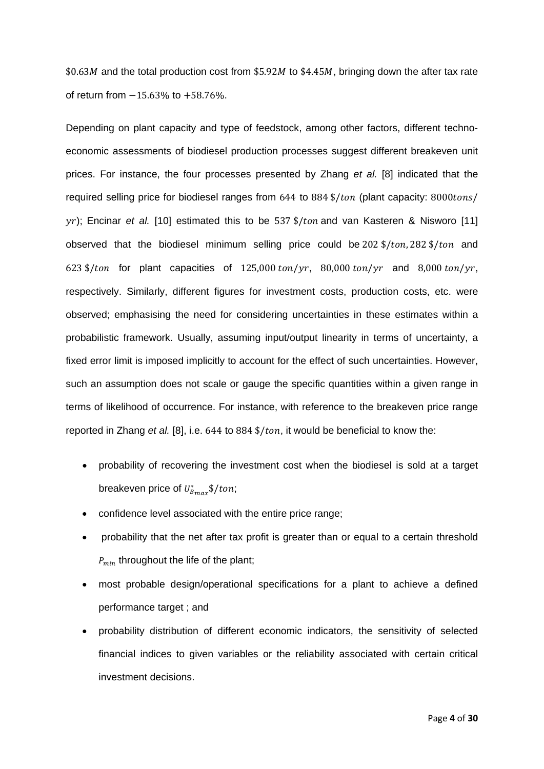\$0.63M and the total production cost from \$5.92M to \$4.45M, bringing down the after tax rate of return from −15.63% to +58.76%.

Depending on plant capacity and type of feedstock, among other factors, different technoeconomic assessments of biodiesel production processes suggest different breakeven unit prices. For instance, the four processes presented by Zhang *et al.* [8] indicated that the required selling price for biodiesel ranges from  $644$  to  $884$  \$/ $ton$  (plant capacity:  $8000tons/$  $yr$ ); Encinar *et al.* [10] estimated this to be 537 \$/ $ton$  and van Kasteren & Nisworo [11] observed that the biodiesel minimum selling price could be  $202 \frac{\text{m}}{\text{s}}$  /ton, 282 \$/ton and 623 \$/ton for plant capacities of  $125,000 \tan/yr$ , 80,000  $\frac{\tan/yr}{\tan 80,000 \tan/yr}$ respectively. Similarly, different figures for investment costs, production costs, etc. were observed; emphasising the need for considering uncertainties in these estimates within a probabilistic framework. Usually, assuming input/output linearity in terms of uncertainty, a fixed error limit is imposed implicitly to account for the effect of such uncertainties. However, such an assumption does not scale or gauge the specific quantities within a given range in terms of likelihood of occurrence. For instance, with reference to the breakeven price range reported in Zhang *et al.* [8], i.e. 644 to 884 \$/ton, it would be beneficial to know the:

- probability of recovering the investment cost when the biodiesel is sold at a target breakeven price of  $U^{*}_{B_{max}}\$(ton;$
- confidence level associated with the entire price range;
- probability that the net after tax profit is greater than or equal to a certain threshold  $P_{min}$  throughout the life of the plant;
- most probable design/operational specifications for a plant to achieve a defined performance target ; and
- probability distribution of different economic indicators, the sensitivity of selected financial indices to given variables or the reliability associated with certain critical investment decisions.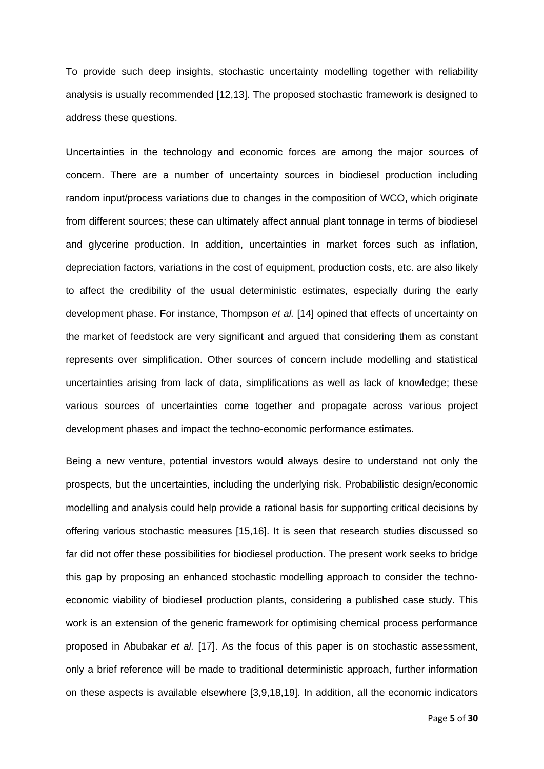To provide such deep insights, stochastic uncertainty modelling together with reliability analysis is usually recommended [12,13]. The proposed stochastic framework is designed to address these questions.

Uncertainties in the technology and economic forces are among the major sources of concern. There are a number of uncertainty sources in biodiesel production including random input/process variations due to changes in the composition of WCO, which originate from different sources; these can ultimately affect annual plant tonnage in terms of biodiesel and glycerine production. In addition, uncertainties in market forces such as inflation, depreciation factors, variations in the cost of equipment, production costs, etc. are also likely to affect the credibility of the usual deterministic estimates, especially during the early development phase. For instance, Thompson *et al.* [14] opined that effects of uncertainty on the market of feedstock are very significant and argued that considering them as constant represents over simplification. Other sources of concern include modelling and statistical uncertainties arising from lack of data, simplifications as well as lack of knowledge; these various sources of uncertainties come together and propagate across various project development phases and impact the techno-economic performance estimates.

Being a new venture, potential investors would always desire to understand not only the prospects, but the uncertainties, including the underlying risk. Probabilistic design/economic modelling and analysis could help provide a rational basis for supporting critical decisions by offering various stochastic measures [15,16]. It is seen that research studies discussed so far did not offer these possibilities for biodiesel production. The present work seeks to bridge this gap by proposing an enhanced stochastic modelling approach to consider the technoeconomic viability of biodiesel production plants, considering a published case study. This work is an extension of the generic framework for optimising chemical process performance proposed in Abubakar *et al.* [17]. As the focus of this paper is on stochastic assessment, only a brief reference will be made to traditional deterministic approach, further information on these aspects is available elsewhere [3,9,18,19]. In addition, all the economic indicators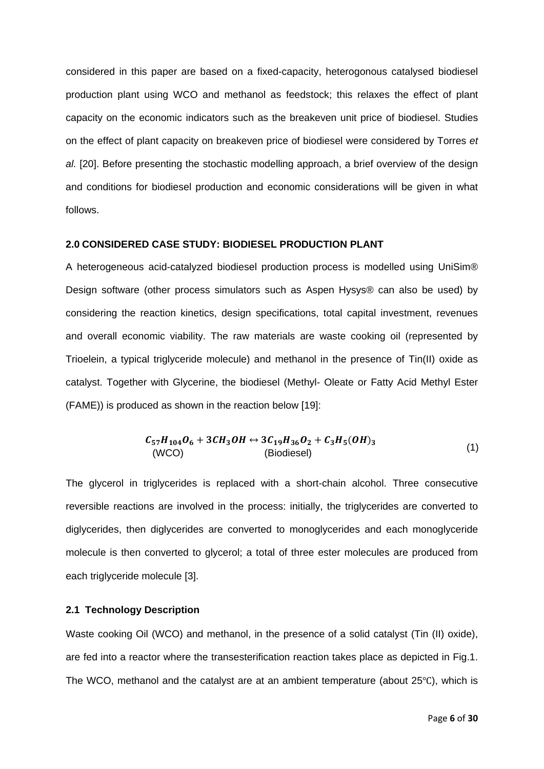considered in this paper are based on a fixed-capacity, heterogonous catalysed biodiesel production plant using WCO and methanol as feedstock; this relaxes the effect of plant capacity on the economic indicators such as the breakeven unit price of biodiesel. Studies on the effect of plant capacity on breakeven price of biodiesel were considered by Torres *et*  al. [20]. Before presenting the stochastic modelling approach, a brief overview of the design and conditions for biodiesel production and economic considerations will be given in what follows.

## **2.0 CONSIDERED CASE STUDY: BIODIESEL PRODUCTION PLANT**

A heterogeneous acid-catalyzed biodiesel production process is modelled using UniSim® Design software (other process simulators such as Aspen Hysys® can also be used) by considering the reaction kinetics, design specifications, total capital investment, revenues and overall economic viability. The raw materials are waste cooking oil (represented by Trioelein, a typical triglyceride molecule) and methanol in the presence of Tin(II) oxide as catalyst. Together with Glycerine, the biodiesel (Methyl- Oleate or Fatty Acid Methyl Ester (FAME)) is produced as shown in the reaction below [19]:

$$
C_{57}H_{104}O_6 + 3CH_3OH \leftrightarrow 3C_{19}H_{36}O_2 + C_3H_5(OH)_3
$$
  
(WCO) (Biodiesel) (1)

The glycerol in triglycerides is replaced with a short-chain alcohol. Three consecutive reversible reactions are involved in the process: initially, the triglycerides are converted to diglycerides, then diglycerides are converted to monoglycerides and each monoglyceride molecule is then converted to glycerol; a total of three ester molecules are produced from each triglyceride molecule [3].

#### **2.1 Technology Description**

Waste cooking Oil (WCO) and methanol, in the presence of a solid catalyst (Tin (II) oxide), are fed into a reactor where the transesterification reaction takes place as depicted in Fig.1. The WCO, methanol and the catalyst are at an ambient temperature (about 25℃), which is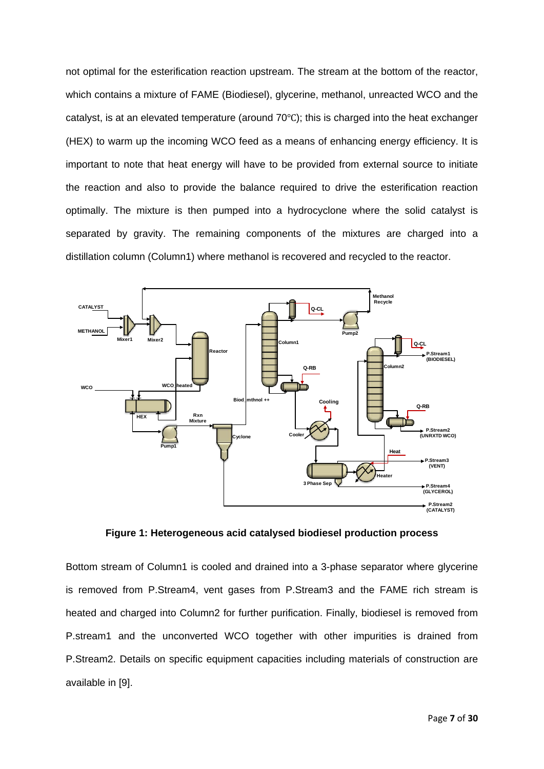not optimal for the esterification reaction upstream. The stream at the bottom of the reactor, which contains a mixture of FAME (Biodiesel), glycerine, methanol, unreacted WCO and the catalyst, is at an elevated temperature (around 70℃); this is charged into the heat exchanger (HEX) to warm up the incoming WCO feed as a means of enhancing energy efficiency. It is important to note that heat energy will have to be provided from external source to initiate the reaction and also to provide the balance required to drive the esterification reaction optimally. The mixture is then pumped into a hydrocyclone where the solid catalyst is separated by gravity. The remaining components of the mixtures are charged into a distillation column (Column1) where methanol is recovered and recycled to the reactor.



**Figure 1: Heterogeneous acid catalysed biodiesel production process**

Bottom stream of Column1 is cooled and drained into a 3-phase separator where glycerine is removed from P.Stream4, vent gases from P.Stream3 and the FAME rich stream is heated and charged into Column2 for further purification. Finally, biodiesel is removed from P.stream1 and the unconverted WCO together with other impurities is drained from P.Stream2. Details on specific equipment capacities including materials of construction are available in [9].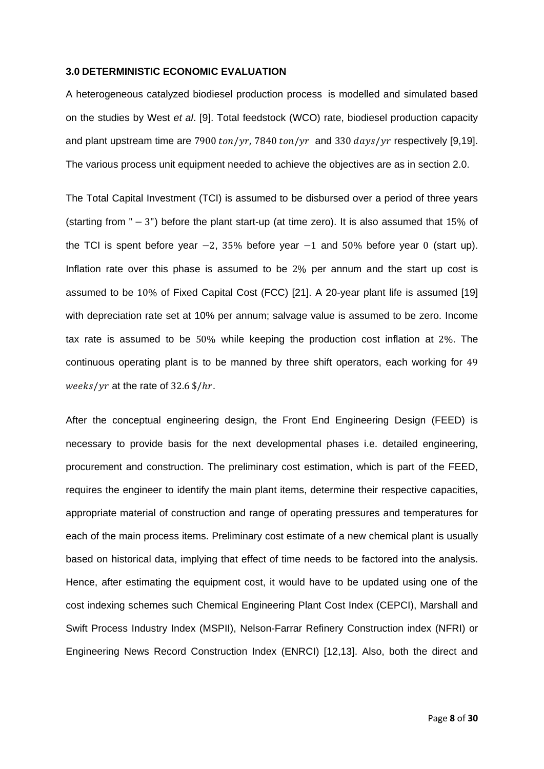#### **3.0 DETERMINISTIC ECONOMIC EVALUATION**

A heterogeneous catalyzed biodiesel production process is modelled and simulated based on the studies by West *et al*. [9]. Total feedstock (WCO) rate, biodiesel production capacity and plant upstream time are 7900 ton/yr, 7840 ton/yr and 330  $davs/yr$  respectively [9,19]. The various process unit equipment needed to achieve the objectives are as in section 2.0.

The Total Capital Investment (TCI) is assumed to be disbursed over a period of three years (starting from " $-3$ ") before the plant start-up (at time zero). It is also assumed that 15% of the TCI is spent before year −2, 35% before year −1 and 50% before year 0 (start up). Inflation rate over this phase is assumed to be 2% per annum and the start up cost is assumed to be 10% of Fixed Capital Cost (FCC) [21]. A 20-year plant life is assumed [19] with depreciation rate set at 10% per annum; salvage value is assumed to be zero. Income tax rate is assumed to be 50% while keeping the production cost inflation at 2%. The continuous operating plant is to be manned by three shift operators, each working for 49 weeks/yr at the rate of  $32.6$  \$/hr.

After the conceptual engineering design, the Front End Engineering Design (FEED) is necessary to provide basis for the next developmental phases i.e. detailed engineering, procurement and construction. The preliminary cost estimation, which is part of the FEED, requires the engineer to identify the main plant items, determine their respective capacities, appropriate material of construction and range of operating pressures and temperatures for each of the main process items. Preliminary cost estimate of a new chemical plant is usually based on historical data, implying that effect of time needs to be factored into the analysis. Hence, after estimating the equipment cost, it would have to be updated using one of the cost indexing schemes such Chemical Engineering Plant Cost Index (CEPCI), Marshall and Swift Process Industry Index (MSPII), Nelson-Farrar Refinery Construction index (NFRI) or Engineering News Record Construction Index (ENRCI) [12,13]. Also, both the direct and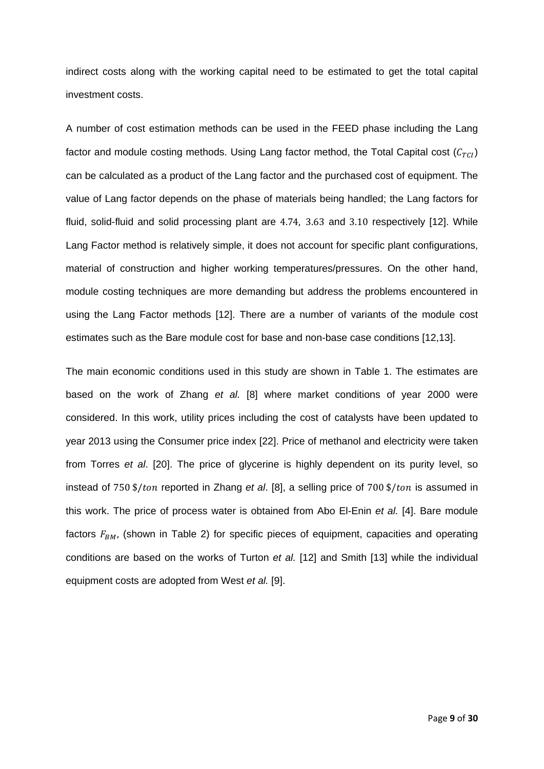indirect costs along with the working capital need to be estimated to get the total capital investment costs.

A number of cost estimation methods can be used in the FEED phase including the Lang factor and module costing methods. Using Lang factor method, the Total Capital cost  $(C_{TCI})$ can be calculated as a product of the Lang factor and the purchased cost of equipment. The value of Lang factor depends on the phase of materials being handled; the Lang factors for fluid, solid-fluid and solid processing plant are 4.74, 3.63 and 3.10 respectively [12]. While Lang Factor method is relatively simple, it does not account for specific plant configurations, material of construction and higher working temperatures/pressures. On the other hand, module costing techniques are more demanding but address the problems encountered in using the Lang Factor methods [12]. There are a number of variants of the module cost estimates such as the Bare module cost for base and non-base case conditions [12,13].

The main economic conditions used in this study are shown in Table 1. The estimates are based on the work of Zhang *et al.* [8] where market conditions of year 2000 were considered. In this work, utility prices including the cost of catalysts have been updated to year 2013 using the Consumer price index [22]. Price of methanol and electricity were taken from Torres *et al*. [20]. The price of glycerine is highly dependent on its purity level, so instead of 750 \$/ton reported in Zhang *et al.* [8], a selling price of 700 \$/ton is assumed in this work. The price of process water is obtained from Abo El-Enin *et al.* [4]. Bare module factors  $F_{RM}$ , (shown in Table 2) for specific pieces of equipment, capacities and operating conditions are based on the works of Turton *et al.* [12] and Smith [13] while the individual equipment costs are adopted from West *et al.* [9].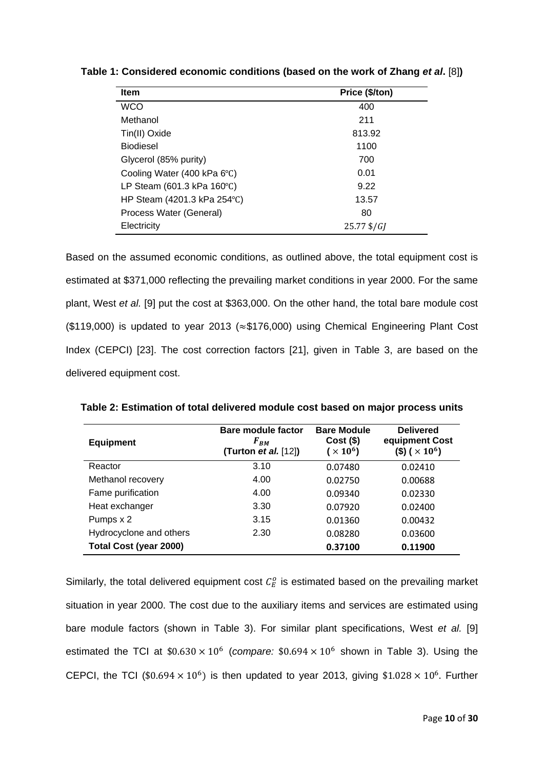| <b>Item</b>                 | Price (\$/ton) |
|-----------------------------|----------------|
| <b>WCO</b>                  | 400            |
| Methanol                    | 211            |
| Tin(II) Oxide               | 813.92         |
| <b>Biodiesel</b>            | 1100           |
| Glycerol (85% purity)       | 700            |
| Cooling Water (400 kPa 6°C) | 0.01           |
| LP Steam (601.3 kPa 160°C)  | 9.22           |
| HP Steam (4201.3 kPa 254°C) | 13.57          |
| Process Water (General)     | 80             |
| Electricity                 | $25.77$ \$/GJ  |

**Table 1: Considered economic conditions (based on the work of Zhang** *et al***.** [8]**)** 

Based on the assumed economic conditions, as outlined above, the total equipment cost is estimated at \$371,000 reflecting the prevailing market conditions in year 2000. For the same plant, West *et al.* [9] put the cost at \$363,000. On the other hand, the total bare module cost (\$119,000) is updated to year 2013 (≈\$176,000) using Chemical Engineering Plant Cost Index (CEPCI) [23]. The cost correction factors [21], given in Table 3, are based on the delivered equipment cost.

| <b>Equipment</b>              | Bare module factor<br>$F_{BM}$<br>(Turton et al. $[12]$ ) | <b>Bare Module</b><br>$Cost($ \$)<br>$(\times 10^6)$ | <b>Delivered</b><br>equipment Cost<br>$($ \$) ( $\times$ 10 <sup>6</sup> ) |
|-------------------------------|-----------------------------------------------------------|------------------------------------------------------|----------------------------------------------------------------------------|
| Reactor                       | 3.10                                                      | 0.07480                                              | 0.02410                                                                    |
| Methanol recovery             | 4.00                                                      | 0.02750                                              | 0.00688                                                                    |
| Fame purification             | 4.00                                                      | 0.09340                                              | 0.02330                                                                    |
| Heat exchanger                | 3.30                                                      | 0.07920                                              | 0.02400                                                                    |
| Pumps x 2                     | 3.15                                                      | 0.01360                                              | 0.00432                                                                    |
| Hydrocyclone and others       | 2.30                                                      | 0.08280                                              | 0.03600                                                                    |
| <b>Total Cost (year 2000)</b> |                                                           | 0.37100                                              | 0.11900                                                                    |

**Table 2: Estimation of total delivered module cost based on major process units**

Similarly, the total delivered equipment cost  $C_E^o$  is estimated based on the prevailing market situation in year 2000. The cost due to the auxiliary items and services are estimated using bare module factors (shown in Table 3). For similar plant specifications, West *et al.* [9] estimated the TCI at  $$0.630 \times 10^6$  (*compare:*  $$0.694 \times 10^6$  shown in Table 3). Using the CEPCI, the TCI (\$0.694  $\times$  10<sup>6</sup>) is then updated to year 2013, giving \$1.028  $\times$  10<sup>6</sup>. Further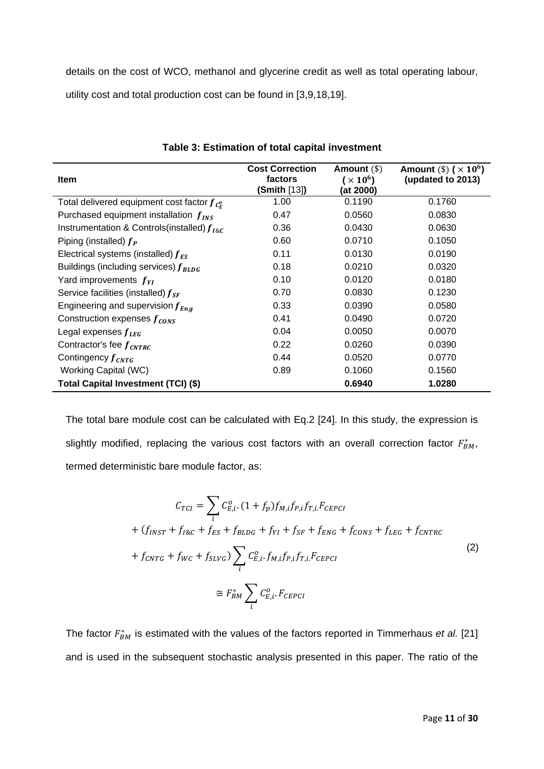details on the cost of WCO, methanol and glycerine credit as well as total operating labour, utility cost and total production cost can be found in [3,9,18,19].

| <b>Item</b>                                               | <b>Cost Correction</b><br>factors<br>(Smith [13]) | Amount $(\$)$<br>$\times$ 10 <sup>6</sup> )<br>(at 2000 | Amount $(\$)$ ( $\times$ 10 <sup>6</sup> )<br>(updated to 2013) |
|-----------------------------------------------------------|---------------------------------------------------|---------------------------------------------------------|-----------------------------------------------------------------|
| Total delivered equipment cost factor $f_{\mathcal{C}^p}$ | 1.00                                              | 0.1190                                                  | 0.1760                                                          |
| Purchased equipment installation $f_{INS}$                | 0.47                                              | 0.0560                                                  | 0.0830                                                          |
| Instrumentation & Controls(installed) $f_{18c}$           | 0.36                                              | 0.0430                                                  | 0.0630                                                          |
| Piping (installed) $fP$                                   | 0.60                                              | 0.0710                                                  | 0.1050                                                          |
| Electrical systems (installed) $f_{ES}$                   | 0.11                                              | 0.0130                                                  | 0.0190                                                          |
| Buildings (including services) $f_{BLDG}$                 | 0.18                                              | 0.0210                                                  | 0.0320                                                          |
| Yard improvements $f_{YI}$                                | 0.10                                              | 0.0120                                                  | 0.0180                                                          |
| Service facilities (installed) $f_{SF}$                   | 0.70                                              | 0.0830                                                  | 0.1230                                                          |
| Engineering and supervision $f_{Ena}$                     | 0.33                                              | 0.0390                                                  | 0.0580                                                          |
| Construction expenses $f_{\text{CONS}}$                   | 0.41                                              | 0.0490                                                  | 0.0720                                                          |
| Legal expenses $f_{LEG}$                                  | 0.04                                              | 0.0050                                                  | 0.0070                                                          |
| Contractor's fee $f_{CNTRC}$                              | 0.22                                              | 0.0260                                                  | 0.0390                                                          |
| Contingency $f_{CNTG}$                                    | 0.44                                              | 0.0520                                                  | 0.0770                                                          |
| Working Capital (WC)                                      | 0.89                                              | 0.1060                                                  | 0.1560                                                          |
| Total Capital Investment (TCI) (\$)                       |                                                   | 0.6940                                                  | 1.0280                                                          |

## **Table 3: Estimation of total capital investment**

The total bare module cost can be calculated with Eq.2 [24]. In this study, the expression is slightly modified, replacing the various cost factors with an overall correction factor  $F_{BM}^*$ , termed deterministic bare module factor, as:

$$
C_{TCI} = \sum_{i} C_{E,i}^{o} \cdot (1 + f_p) f_{M,i} f_{P,i} f_{T,i} F_{CEPCI}
$$
  
+ 
$$
(f_{INST} + f_{I\&C} + f_{ES} + f_{BLDG} + f_{YI} + f_{SF} + f_{ENG} + f_{CONS} + f_{LEG} + f_{CNTRC}
$$
  
+ 
$$
f_{CNTG} + f_{WC} + f_{SLVG} \sum_{i} C_{E,i}^{o} \cdot f_{M,i} f_{P,i} f_{T,i} F_{CEPCI}
$$
  

$$
\approx F_{BM}^{*} \sum_{i} C_{E,i}^{o} \cdot F_{CEPCI}
$$
  
(2)

The factor  $F_{BM}^*$  is estimated with the values of the factors reported in Timmerhaus *et al.* [21] and is used in the subsequent stochastic analysis presented in this paper. The ratio of the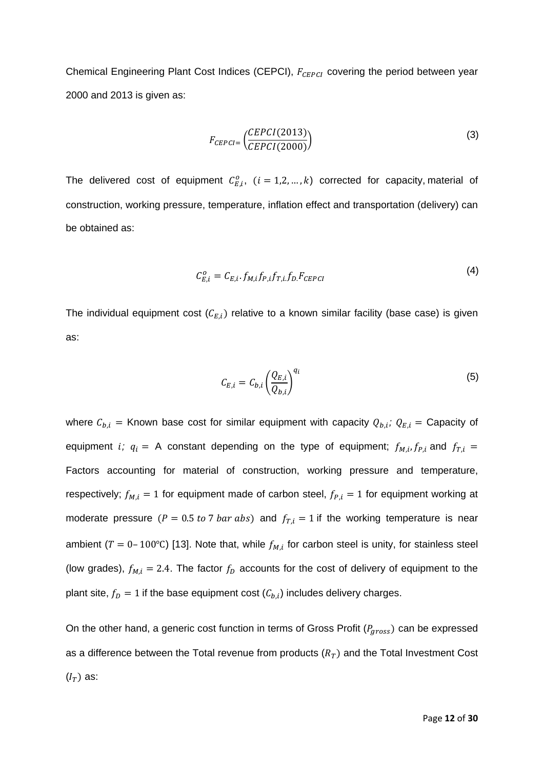Chemical Engineering Plant Cost Indices (CEPCI),  $F_{CEPCI}$  covering the period between year 2000 and 2013 is given as:

$$
F_{CEPCI} = \left(\frac{CEPCI(2013)}{CEPCI(2000)}\right) \tag{3}
$$

The delivered cost of equipment  $C_{E,i}^o$ ,  $(i = 1,2,...,k)$  corrected for capacity, material of construction, working pressure, temperature, inflation effect and transportation (delivery) can be obtained as:

$$
C_{E,i}^o = C_{E,i}.f_{M,i}f_{P,i}f_{T,i}.f_D.F_{CEPCI}
$$
\n
$$
(4)
$$

The individual equipment cost  $(C_{E,i})$  relative to a known similar facility (base case) is given as:

$$
C_{E,i} = C_{b,i} \left(\frac{Q_{E,i}}{Q_{b,i}}\right)^{q_i}
$$
\n<sup>(5)</sup>

where  $C_{b,i}$  = Known base cost for similar equipment with capacity  $Q_{b,i}$ ;  $Q_{E,i}$  = Capacity of equipment *i*;  $q_i = A$  constant depending on the type of equipment;  $f_{M,i}, f_{P,i}$  and  $f_{T,i} =$ Factors accounting for material of construction, working pressure and temperature, respectively;  $f_{M,i} = 1$  for equipment made of carbon steel,  $f_{P,i} = 1$  for equipment working at moderate pressure ( $P = 0.5$  to 7 bar abs) and  $f_{T,i} = 1$  if the working temperature is near ambient ( $T = 0-100$ °C) [13]. Note that, while  $f_{M,i}$  for carbon steel is unity, for stainless steel (low grades),  $f_{M,i} = 2.4$ . The factor  $f_D$  accounts for the cost of delivery of equipment to the plant site,  $f_D = 1$  if the base equipment cost  $(C_{b,i})$  includes delivery charges.

On the other hand, a generic cost function in terms of Gross Profit ( $P_{gross}$ ) can be expressed as a difference between the Total revenue from products  $(R_T)$  and the Total Investment Cost  $(I_T)$  as: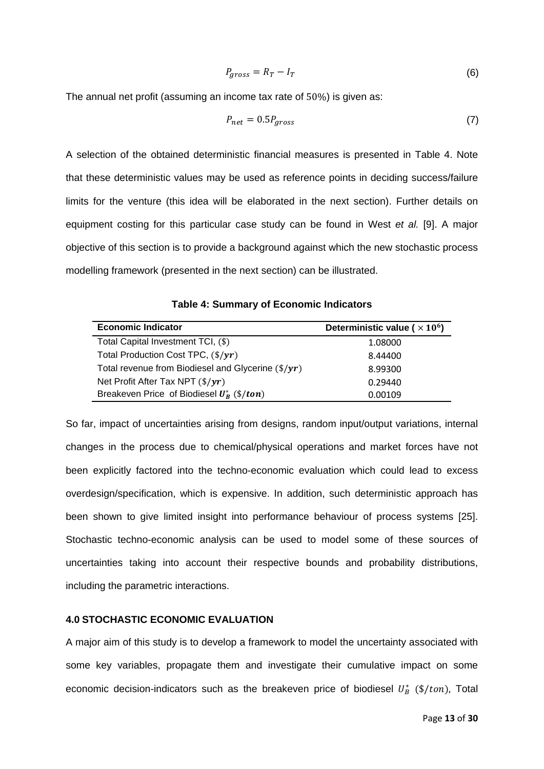$$
P_{gross} = R_T - I_T \tag{6}
$$

The annual net profit (assuming an income tax rate of 50%) is given as:

$$
P_{net} = 0.5P_{gross} \tag{7}
$$

A selection of the obtained deterministic financial measures is presented in Table 4. Note that these deterministic values may be used as reference points in deciding success/failure limits for the venture (this idea will be elaborated in the next section). Further details on equipment costing for this particular case study can be found in West *et al.* [9]. A major objective of this section is to provide a background against which the new stochastic process modelling framework (presented in the next section) can be illustrated.

**Table 4: Summary of Economic Indicators**

| <b>Economic Indicator</b>                                               | Deterministic value ( $\times 10^6$ ) |
|-------------------------------------------------------------------------|---------------------------------------|
| Total Capital Investment TCI, (\$)                                      | 1.08000                               |
| Total Production Cost TPC, $(\frac{2}{\gamma}yr)$                       | 8.44400                               |
| Total revenue from Biodiesel and Glycerine $(\frac{2}{\gamma}\gamma)^2$ | 8.99300                               |
| Net Profit After Tax NPT $(\frac{2}{y}r)$                               | 0.29440                               |
| Breakeven Price of Biodiesel $U_R^*$ (\$/ton)                           | 0.00109                               |

So far, impact of uncertainties arising from designs, random input/output variations, internal changes in the process due to chemical/physical operations and market forces have not been explicitly factored into the techno-economic evaluation which could lead to excess overdesign/specification, which is expensive. In addition, such deterministic approach has been shown to give limited insight into performance behaviour of process systems [25]. Stochastic techno-economic analysis can be used to model some of these sources of uncertainties taking into account their respective bounds and probability distributions, including the parametric interactions.

# **4.0 STOCHASTIC ECONOMIC EVALUATION**

A major aim of this study is to develop a framework to model the uncertainty associated with some key variables, propagate them and investigate their cumulative impact on some economic decision-indicators such as the breakeven price of biodiesel  $U_B^*$  (\$/ton), Total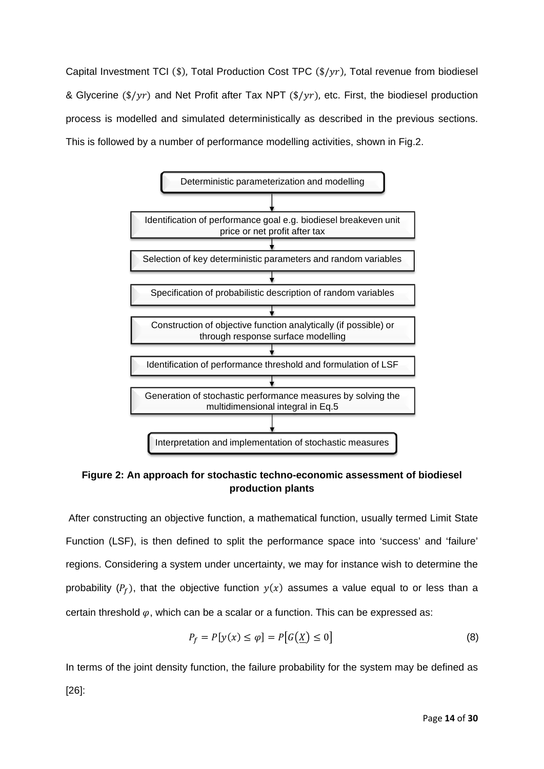Capital Investment TCI (\$), Total Production Cost TPC ( $\frac{\sqrt{y}}{y}$ ), Total revenue from biodiesel & Glycerine ( $\sqrt{s}/\gamma r$ ) and Net Profit after Tax NPT ( $\sqrt{s}/\gamma r$ ), etc. First, the biodiesel production process is modelled and simulated deterministically as described in the previous sections. This is followed by a number of performance modelling activities, shown in Fig.2.



**Figure 2: An approach for stochastic techno-economic assessment of biodiesel production plants**

After constructing an objective function, a mathematical function, usually termed Limit State Function (LSF), is then defined to split the performance space into 'success' and 'failure' regions. Considering a system under uncertainty, we may for instance wish to determine the probability ( $P_f$ ), that the objective function  $y(x)$  assumes a value equal to or less than a certain threshold  $\varphi$ , which can be a scalar or a function. This can be expressed as:

$$
P_f = P[y(x) \le \varphi] = P[G(\underline{X}) \le 0]
$$
\n(8)

In terms of the joint density function, the failure probability for the system may be defined as [26]: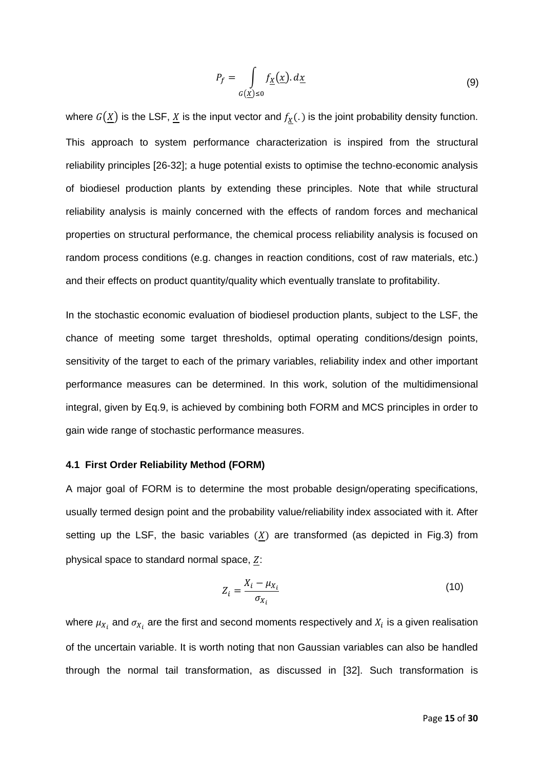$$
P_f = \int\limits_{G(\underline{X}) \le 0} f_{\underline{X}}(\underline{x}). d\underline{x} \tag{9}
$$

where  $G(\underline{X})$  is the LSF,  $\underline{X}$  is the input vector and  $f_X(.)$  is the joint probability density function. This approach to system performance characterization is inspired from the structural reliability principles [26-32]; a huge potential exists to optimise the techno-economic analysis of biodiesel production plants by extending these principles. Note that while structural reliability analysis is mainly concerned with the effects of random forces and mechanical properties on structural performance, the chemical process reliability analysis is focused on random process conditions (e.g. changes in reaction conditions, cost of raw materials, etc.) and their effects on product quantity/quality which eventually translate to profitability.

In the stochastic economic evaluation of biodiesel production plants, subject to the LSF, the chance of meeting some target thresholds, optimal operating conditions/design points, sensitivity of the target to each of the primary variables, reliability index and other important performance measures can be determined. In this work, solution of the multidimensional integral, given by Eq.9, is achieved by combining both FORM and MCS principles in order to gain wide range of stochastic performance measures.

## **4.1 First Order Reliability Method (FORM)**

A major goal of FORM is to determine the most probable design/operating specifications, usually termed design point and the probability value/reliability index associated with it. After setting up the LSF, the basic variables  $(X)$  are transformed (as depicted in Fig.3) from physical space to standard normal space,  $Z$ :

$$
Z_i = \frac{X_i - \mu_{X_i}}{\sigma_{X_i}}\tag{10}
$$

where  $\mu_{X_i}$  and  $\sigma_{X_i}$  are the first and second moments respectively and  $X_i$  is a given realisation of the uncertain variable. It is worth noting that non Gaussian variables can also be handled through the normal tail transformation, as discussed in [32]. Such transformation is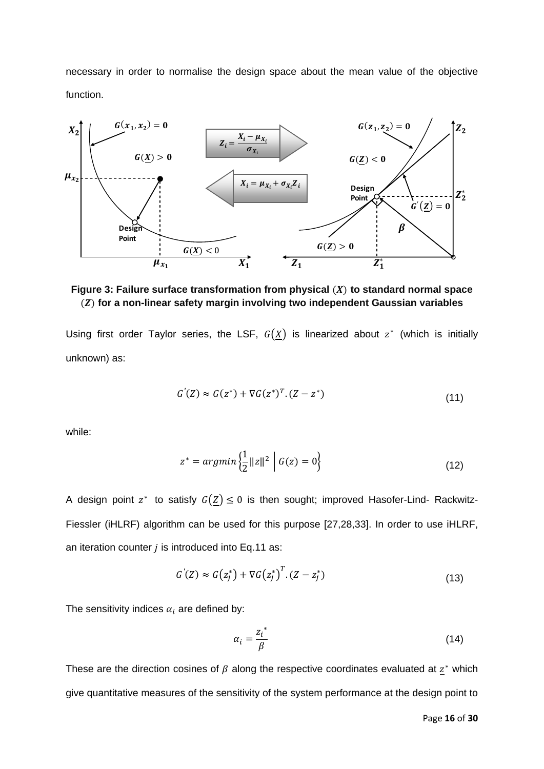necessary in order to normalise the design space about the mean value of the objective function.



Figure 3: Failure surface transformation from physical (X) to standard normal space (Z) for a non-linear safety margin involving two independent Gaussian variables

Using first order Taylor series, the LSF,  $G(\underline{X})$  is linearized about  $z^*$  (which is initially unknown) as:

$$
G'(Z) \approx G(z^*) + \nabla G(z^*)^T \cdot (Z - z^*)
$$
\n
$$
(11)
$$

while:

$$
z^* = argmin\left\{\frac{1}{2}||z||^2 \; \middle| \; G(z) = 0\right\} \tag{12}
$$

A design point  $z^*$  to satisfy  $G(\underline{Z}) \leq 0$  is then sought; improved Hasofer-Lind- Rackwitz-Fiessler (iHLRF) algorithm can be used for this purpose [27,28,33]. In order to use iHLRF, an iteration counter  $j$  is introduced into Eq.11 as:

$$
G'(Z) \approx G(z_j^*) + \nabla G(z_j^*)^T \cdot (Z - z_j^*)
$$
\n(13)

The sensitivity indices  $\alpha_i$  are defined by:

$$
\alpha_i = \frac{{z_i}^*}{\beta} \tag{14}
$$

These are the direction cosines of  $\beta$  along the respective coordinates evaluated at  $\underline{z}^*$  which give quantitative measures of the sensitivity of the system performance at the design point to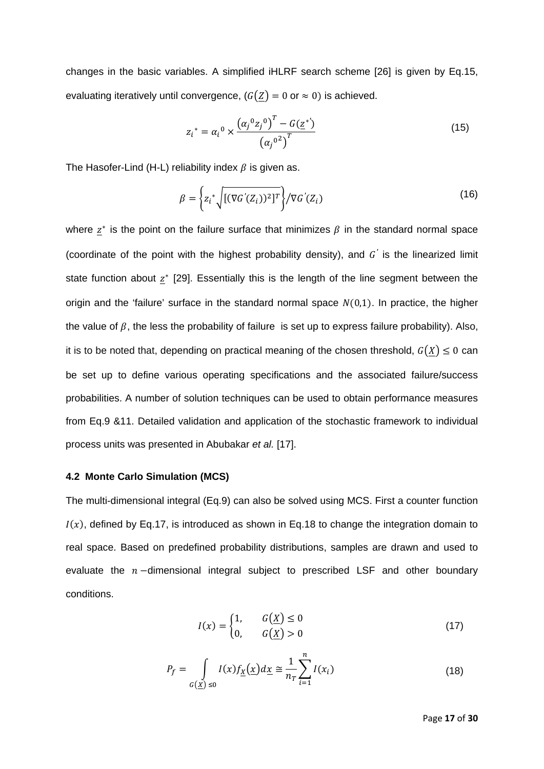changes in the basic variables. A simplified iHLRF search scheme [26] is given by Eq.15, evaluating iteratively until convergence,  $(G(Z) = 0 \text{ or } \approx 0)$  is achieved.

$$
z_i^* = \alpha_i^0 \times \frac{\left(\alpha_j^0 z_j^0\right)^T - G(z^{*})}{\left(\alpha_j^0\right)^T}
$$
 (15)

The Hasofer-Lind (H-L) reliability index  $\beta$  is given as.

$$
\beta = \left\{ z_i^* \sqrt{\left[ (\nabla G'(Z_i))^2 \right]^T} \right\} / \nabla G'(Z_i)
$$
\n(16)

where  $z^*$  is the point on the failure surface that minimizes  $\beta$  in the standard normal space (coordinate of the point with the highest probability density), and *G'* is the linearized limit state function about  $z^*$  [29]. Essentially this is the length of the line segment between the origin and the 'failure' surface in the standard normal space  $N(0,1)$ . In practice, the higher the value of  $\beta$ , the less the probability of failure is set up to express failure probability). Also, it is to be noted that, depending on practical meaning of the chosen threshold,  $G(\underline{X}) \leq 0$  can be set up to define various operating specifications and the associated failure/success probabilities. A number of solution techniques can be used to obtain performance measures from Eq.9 &11. Detailed validation and application of the stochastic framework to individual process units was presented in Abubakar *et al.* [17].

#### **4.2 Monte Carlo Simulation (MCS)**

The multi-dimensional integral (Eq.9) can also be solved using MCS. First a counter function  $I(x)$ , defined by Eq.17, is introduced as shown in Eq.18 to change the integration domain to real space. Based on predefined probability distributions, samples are drawn and used to evaluate the  $n-$ dimensional integral subject to prescribed LSF and other boundary conditions.

$$
I(x) = \begin{cases} 1, & G(\underline{X}) \le 0 \\ 0, & G(\underline{X}) > 0 \end{cases} \tag{17}
$$

$$
P_f = \int\limits_{G(\underline{X}) \le 0} I(x) f_{\underline{X}}(\underline{x}) d\underline{x} \cong \frac{1}{n_T} \sum_{i=1}^n I(x_i)
$$
 (18)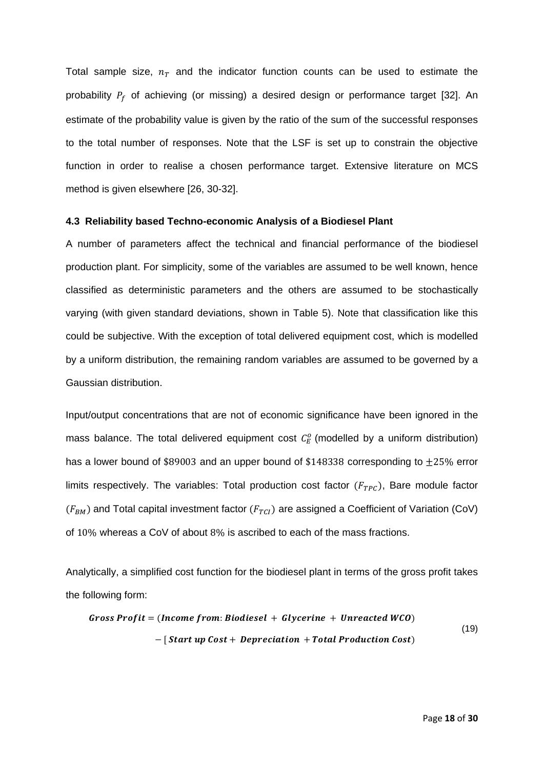Total sample size,  $n<sub>T</sub>$  and the indicator function counts can be used to estimate the probability  $P_f$  of achieving (or missing) a desired design or performance target [32]. An estimate of the probability value is given by the ratio of the sum of the successful responses to the total number of responses. Note that the LSF is set up to constrain the objective function in order to realise a chosen performance target. Extensive literature on MCS method is given elsewhere [26, 30-32].

### **4.3 Reliability based Techno-economic Analysis of a Biodiesel Plant**

A number of parameters affect the technical and financial performance of the biodiesel production plant. For simplicity, some of the variables are assumed to be well known, hence classified as deterministic parameters and the others are assumed to be stochastically varying (with given standard deviations, shown in Table 5). Note that classification like this could be subjective. With the exception of total delivered equipment cost, which is modelled by a uniform distribution, the remaining random variables are assumed to be governed by a Gaussian distribution.

Input/output concentrations that are not of economic significance have been ignored in the mass balance. The total delivered equipment cost  $C_E^o$  (modelled by a uniform distribution) has a lower bound of \$89003 and an upper bound of \$148338 corresponding to  $\pm$ 25% error limits respectively. The variables: Total production cost factor  $(F_{TPC})$ , Bare module factor  $(F_{BM})$  and Total capital investment factor  $(F_{TCI})$  are assigned a Coefficient of Variation (CoV) of 10% whereas a CoV of about 8% is ascribed to each of the mass fractions.

Analytically, a simplified cost function for the biodiesel plant in terms of the gross profit takes the following form:

Gross Profit = (Income from: Biological + Glycerine + Unreacted WCO)

\n
$$
- [Start up Cost + Depreciation + Total Production Cost)
$$
\n(19)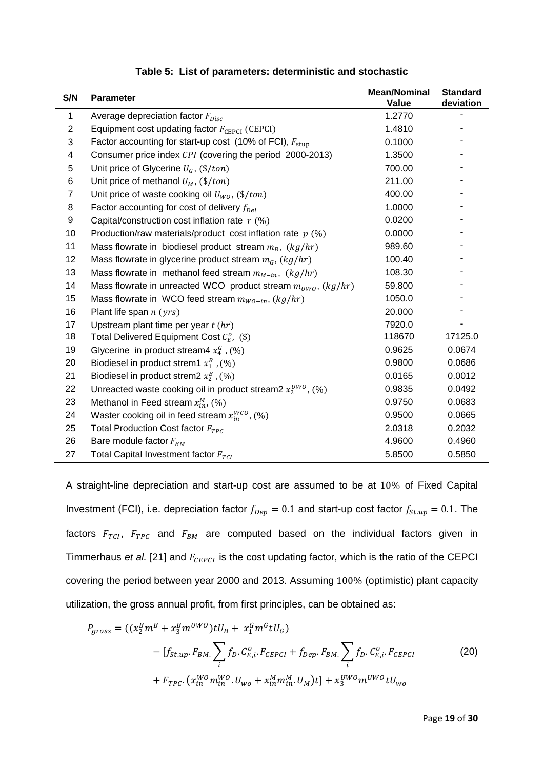| S/N            | <b>Parameter</b>                                                    | <b>Mean/Nominal</b><br>Value | <b>Standard</b><br>deviation |
|----------------|---------------------------------------------------------------------|------------------------------|------------------------------|
| $\mathbf{1}$   | Average depreciation factor $F_{Disc}$                              | 1.2770                       |                              |
| $\overline{2}$ | Equipment cost updating factor $F_{CEPCI}$ (CEPCI)                  | 1.4810                       |                              |
| 3              | Factor accounting for start-up cost (10% of FCI), $F_{\text{stun}}$ | 0.1000                       |                              |
| 4              | Consumer price index CPI (covering the period 2000-2013)            | 1.3500                       |                              |
| $\mathbf 5$    | Unit price of Glycerine $U_G$ , (\$/ton)                            | 700.00                       |                              |
| 6              | Unit price of methanol $U_M$ , (\$/ton)                             | 211.00                       |                              |
| $\overline{7}$ | Unit price of waste cooking oil $U_{WO}$ , (\$/ton)                 | 400.00                       |                              |
| 8              | Factor accounting for cost of delivery $f_{\text{Del}}$             | 1.0000                       |                              |
| 9              | Capital/construction cost inflation rate $r$ (%)                    | 0.0200                       |                              |
| 10             | Production/raw materials/product cost inflation rate $p(\%)$        | 0.0000                       |                              |
| 11             | Mass flowrate in biodiesel product stream $m_B$ , $(kg/hr)$         | 989.60                       |                              |
| 12             | Mass flowrate in glycerine product stream $m_G$ , $(kg/hr)$         | 100.40                       |                              |
| 13             | Mass flowrate in methanol feed stream $m_{M-in}$ , $(kg/hr)$        | 108.30                       |                              |
| 14             | Mass flowrate in unreacted WCO product stream $m_{UWO}$ , $(kg/hr)$ | 59.800                       |                              |
| 15             | Mass flowrate in WCO feed stream $m_{W0-in}$ , (kg/hr)              | 1050.0                       |                              |
| 16             | Plant life span $n (yrs)$                                           | 20.000                       |                              |
| 17             | Upstream plant time per year $t$ ( $hr$ )                           | 7920.0                       |                              |
| 18             | Total Delivered Equipment Cost $C_{E}^{o}$ , (\$)                   | 118670                       | 17125.0                      |
| 19             | Glycerine in product stream4 $x_4^G$ , (%)                          | 0.9625                       | 0.0674                       |
| 20             | Biodiesel in product strem 1 $x_1^B$ , (%)                          | 0.9800                       | 0.0686                       |
| 21             | Biodiesel in product strem2 $x_2^B$ , (%)                           | 0.0165                       | 0.0012                       |
| 22             | Unreacted waste cooking oil in product stream2 $x_2^{UWO}$ , (%)    | 0.9835                       | 0.0492                       |
| 23             | Methanol in Feed stream $x_{in}^{M}$ , (%)                          | 0.9750                       | 0.0683                       |
| 24             | Waster cooking oil in feed stream $x_{in}^{WCO}$ , (%)              | 0.9500                       | 0.0665                       |
| 25             | Total Production Cost factor $F_{TPC}$                              | 2.0318                       | 0.2032                       |
| 26             | Bare module factor $F_{BM}$                                         | 4.9600                       | 0.4960                       |
| 27             | Total Capital Investment factor $F_{TCI}$                           | 5.8500                       | 0.5850                       |

#### **Table 5: List of parameters: deterministic and stochastic**

A straight-line depreciation and start-up cost are assumed to be at 10% of Fixed Capital Investment (FCI), i.e. depreciation factor  $f_{Dep} = 0.1$  and start-up cost factor  $f_{St.up} = 0.1$ . The factors  $F_{TCI}$ ,  $F_{TPC}$  and  $F_{BM}$  are computed based on the individual factors given in Timmerhaus *et al.* [21] and  $F_{CEPCI}$  is the cost updating factor, which is the ratio of the CEPCI covering the period between year 2000 and 2013. Assuming 100% (optimistic) plant capacity utilization, the gross annual profit, from first principles, can be obtained as:

$$
P_{gross} = ((x_2^B m^B + x_3^B m^{UWO}) tU_B + x_1^G m^G tU_G)
$$
  
 
$$
- [f_{St.up} \cdot F_{BM} \sum_i f_D \cdot C_{E,i}^o \cdot F_{CEPCI} + f_{Dep} \cdot F_{BM} \sum_i f_D \cdot C_{E,i}^o \cdot F_{CEPCI} + F_{TPC} \cdot (x_{in}^{WO} m_{in}^{WO} \cdot U_{wo} + x_{in}^M m_{in}^M \cdot U_M) t] + x_3^{UWO} m^{UWO} tU_{wo}
$$
 (20)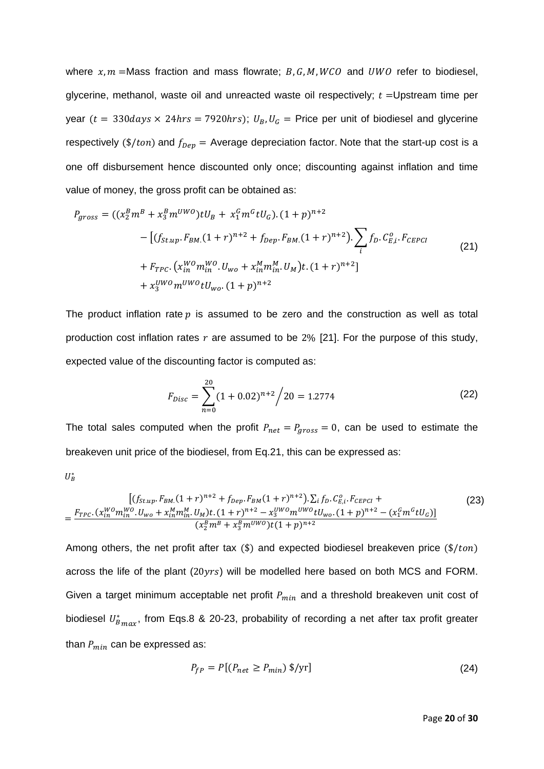where  $x, m$  =Mass fraction and mass flowrate;  $B, G, M, WCO$  and  $UWO$  refer to biodiesel, glycerine, methanol, waste oil and unreacted waste oil respectively;  $t =$ Upstream time per year ( $t = 330 \text{ days} \times 24 \text{ hrs} = 7920 \text{ hrs}$ );  $U_B$ ,  $U_G$  = Price per unit of biodiesel and glycerine respectively (\$/ton) and  $f_{Dep}$  = Average depreciation factor. Note that the start-up cost is a one off disbursement hence discounted only once; discounting against inflation and time value of money, the gross profit can be obtained as:

$$
P_{gross} = ((x_2^B m^B + x_3^B m^{UWO}) tU_B + x_1^G m^G tU_G). (1 + p)^{n+2}
$$
  
– [( $f_{St.up.}F_{BM.}(1 + r)^{n+2} + f_{Dep.}F_{BM.}(1 + r)^{n+2}$ ).  $\sum_i f_D. C_{E,i.}^o F_{CEPCI}$   
+  $F_{TPC.}(x_{in}^{WO} m_{in}^{WO}. U_{wo} + x_{in}^M m_{in.}^M U_M) t. (1 + r)^{n+2}$ ]  
+  $x_3^{UWO} m^{UWO} tU_{wo.}(1 + p)^{n+2}$  (21)

The product inflation rate  $p$  is assumed to be zero and the construction as well as total production cost inflation rates  $r$  are assumed to be 2% [21]. For the purpose of this study, expected value of the discounting factor is computed as:

$$
F_{Disc} = \sum_{n=0}^{20} (1 + 0.02)^{n+2} / 20 = 1.2774
$$
 (22)

The total sales computed when the profit  $P_{net} = P_{gross} = 0$ , can be used to estimate the breakeven unit price of the biodiesel, from Eq.21, this can be expressed as:

 $U_B^*$ 

$$
[(f_{St.up.}F_{BM}(1+r)^{n+2} + f_{Dep.}F_{BM}(1+r)^{n+2}) \cdot \sum_{i} f_{D}. C_{E,i}. F_{CEPCI} +
$$
\n
$$
= \frac{F_{TPC}.(x_{in}^{WO}m_{in}^{WO}.U_{wo} + x_{in}^{M}m_{in}^{M}.U_{M})t.(1+r)^{n+2} - x_{3}^{UWO}m^{UWO}tU_{wo}.(1+p)^{n+2} - (x_{1}^{G}m^{G}tU_{G})]}{(x_{2}^{B}m^{B} + x_{3}^{B}m^{UWO})t(1+p)^{n+2}}
$$
\n(23)

Among others, the net profit after tax  $(\$)$  and expected biodiesel breakeven price  $(\$(/ton)$ across the life of the plant  $(20 yrs)$  will be modelled here based on both MCS and FORM. Given a target minimum acceptable net profit  $P_{min}$  and a threshold breakeven unit cost of biodiesel  $U_{Bmax}^*$ , from Eqs.8 & 20-23, probability of recording a net after tax profit greater than  $P_{min}$  can be expressed as:

$$
P_{fP} = P[(P_{net} \ge P_{min}) \, \text{\$/yr}]\tag{24}
$$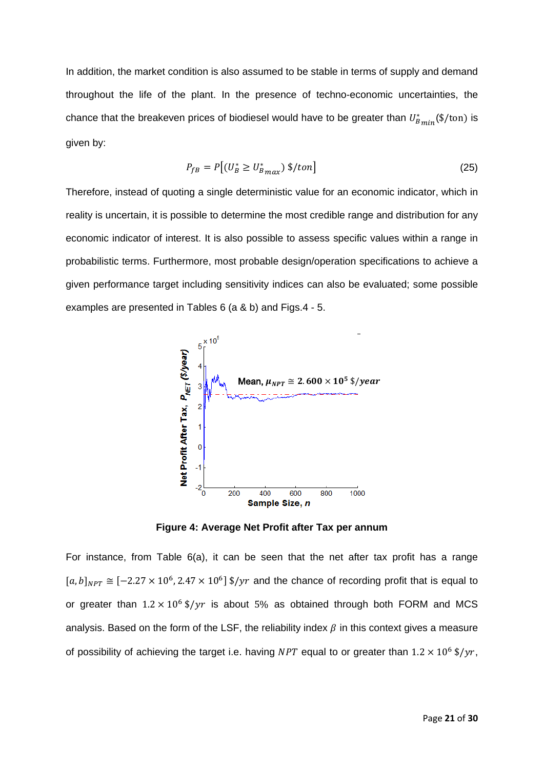In addition, the market condition is also assumed to be stable in terms of supply and demand throughout the life of the plant. In the presence of techno-economic uncertainties, the chance that the breakeven prices of biodiesel would have to be greater than  $U^{*}_{B_{min}}(\$/ton)$  is given by:

$$
P_{fB} = P[(U_B^* \ge U_{Bmax}^*) \text{ } \$/ton]
$$
 (25)

Therefore, instead of quoting a single deterministic value for an economic indicator, which in reality is uncertain, it is possible to determine the most credible range and distribution for any economic indicator of interest. It is also possible to assess specific values within a range in probabilistic terms. Furthermore, most probable design/operation specifications to achieve a given performance target including sensitivity indices can also be evaluated; some possible examples are presented in Tables 6 (a & b) and Figs.4 - 5.



**Figure 4: Average Net Profit after Tax per annum**

For instance, from Table 6(a), it can be seen that the net after tax profit has a range  $[a, b]_{NPT} \cong [-2.27 \times 10^6, 2.47 \times 10^6]$  \$/yr and the chance of recording profit that is equal to or greater than  $1.2 \times 10^6$  \$/yr is about 5% as obtained through both FORM and MCS analysis. Based on the form of the LSF, the reliability index  $\beta$  in this context gives a measure of possibility of achieving the target i.e. having NPT equal to or greater than  $1.2 \times 10^6$  \$/yr,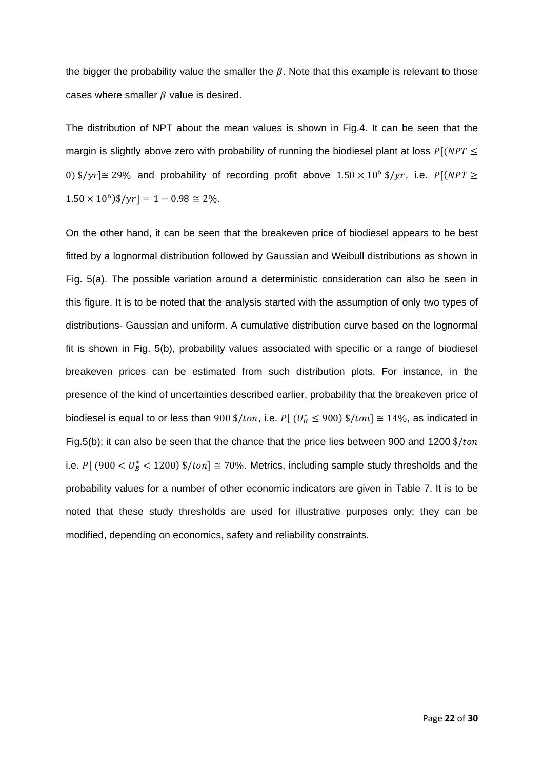the bigger the probability value the smaller the  $\beta$ . Note that this example is relevant to those cases where smaller  $\beta$  value is desired.

The distribution of NPT about the mean values is shown in Fig.4. It can be seen that the margin is slightly above zero with probability of running the biodiesel plant at loss  $P[(NPT \leq$ 0)  $\sqrt[6]{y}$  = 29% and probability of recording profit above  $1.50 \times 10^6$  \$/yr, i.e. P[(NPT  $\ge$  $1.50 \times 10^6$  $\frac{\gamma}{\gamma}$  = 1 – 0.98  $\approx$  2%.

On the other hand, it can be seen that the breakeven price of biodiesel appears to be best fitted by a lognormal distribution followed by Gaussian and Weibull distributions as shown in Fig. 5(a). The possible variation around a deterministic consideration can also be seen in this figure. It is to be noted that the analysis started with the assumption of only two types of distributions- Gaussian and uniform. A cumulative distribution curve based on the lognormal fit is shown in Fig. 5(b), probability values associated with specific or a range of biodiesel breakeven prices can be estimated from such distribution plots. For instance, in the presence of the kind of uncertainties described earlier, probability that the breakeven price of biodiesel is equal to or less than 900 \$/ton, i.e.  $P[ (U_B^* \le 900)$  \$/ton]  $\cong$  14%, as indicated in Fig.5(b); it can also be seen that the chance that the price lies between 900 and 1200  $\frac{s}{ton}$ i.e.  $P[ (900 < U_B^* < 1200)$  \$/ton]  $\cong 70\%$ . Metrics, including sample study thresholds and the probability values for a number of other economic indicators are given in Table 7. It is to be noted that these study thresholds are used for illustrative purposes only; they can be modified, depending on economics, safety and reliability constraints.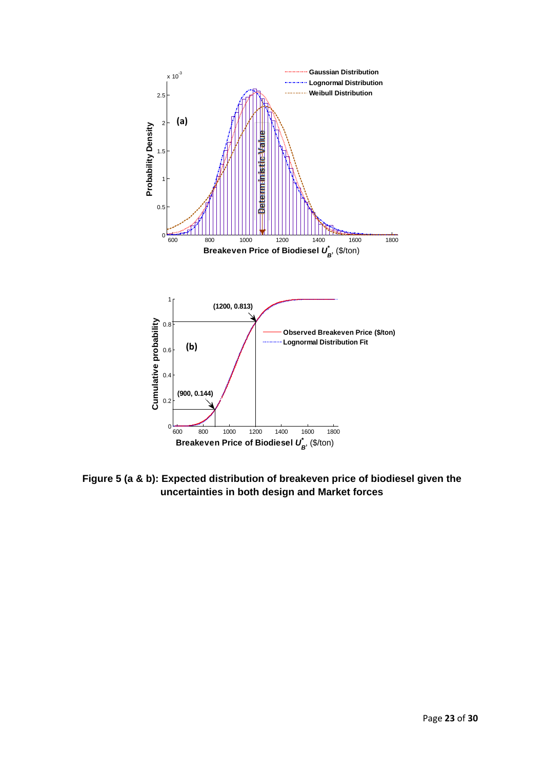

**Figure 5 (a & b): Expected distribution of breakeven price of biodiesel given the uncertainties in both design and Market forces**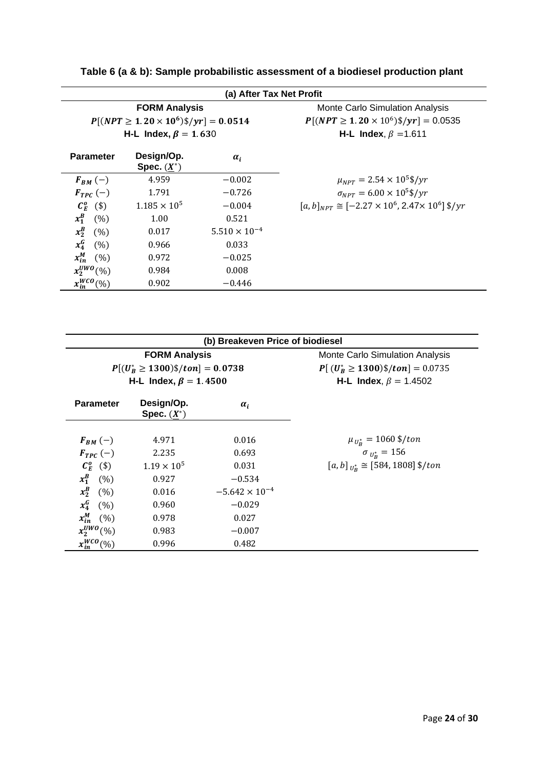| (a) After Tax Net Profit                      |                             |                        |                                                                  |  |
|-----------------------------------------------|-----------------------------|------------------------|------------------------------------------------------------------|--|
|                                               | <b>FORM Analysis</b>        |                        | Monte Carlo Simulation Analysis                                  |  |
| $P[(NPT \ge 1.20 \times 10^6)\$/yr] = 0.0514$ |                             |                        | $P[(NPT \ge 1.20 \times 10^6)\$/yr] = 0.0535$                    |  |
|                                               | H-L Index, $\beta = 1.630$  |                        | H-L Index, $\beta$ =1.611                                        |  |
| <b>Parameter</b>                              | Design/Op.<br>Spec. $(X^*)$ | $\alpha_i$             |                                                                  |  |
| $F_{BM}(-)$                                   | 4.959                       | $-0.002$               | $\mu_{NPT} = 2.54 \times 10^5$ \$/yr                             |  |
| $F_{TPC}(-)$                                  | 1.791                       | $-0.726$               | $\sigma_{NPT} = 6.00 \times 10^5 \frac{4}{3}$                    |  |
| $C_F^0$ (\$)                                  | $1.185 \times 10^5$         | $-0.004$               | $[a, b]_{NPT} \cong [-2.27 \times 10^6, 2.47 \times 10^6]$ \$/yr |  |
| $x_1^B$<br>(%)                                | 1.00                        | 0.521                  |                                                                  |  |
| $x_2^B$<br>(% )                               | 0.017                       | $5.510 \times 10^{-4}$ |                                                                  |  |
| $x_4^G$<br>(% )                               | 0.966                       | 0.033                  |                                                                  |  |
| $x_{in}^M$<br>(%)                             | 0.972                       | $-0.025$               |                                                                  |  |
| $x_2^{UWO}$ (%)                               | 0.984                       | 0.008                  |                                                                  |  |
| $x_{in}^{WCO}$ (%)                            | 0.902                       | $-0.446$               |                                                                  |  |

# **Table 6 (a & b): Sample probabilistic assessment of a biodiesel production plant**

|                    | (b) Breakeven Price of biodiesel     |                         |                                           |  |  |
|--------------------|--------------------------------------|-------------------------|-------------------------------------------|--|--|
|                    | <b>FORM Analysis</b>                 |                         | Monte Carlo Simulation Analysis           |  |  |
|                    | $P[(U_R^* \ge 1300)\$/ton] = 0.0738$ |                         | $P[(U_R^* \ge 1300)\$/ton] = 0.0735$      |  |  |
|                    | H-L Index, $\beta = 1.4500$          |                         | <b>H-L Index</b> , $\beta = 1.4502$       |  |  |
| <b>Parameter</b>   | Design/Op.<br>Spec. $(X^*)$          | $\alpha_i$              |                                           |  |  |
| $F_{BM}(-)$        | 4.971                                | 0.016                   | $\mu_{U_R^*} = 1060$ \$/ton               |  |  |
| $F_{TPC}(-)$       | 2.235                                | 0.693                   | $\sigma_{U_{R}^{*}} = 156$                |  |  |
| $C_F^0$ (\$)       | $1.19 \times 10^{5}$                 | 0.031                   | $[a, b]_{U_R^*} \cong [584, 1808]$ \$/ton |  |  |
| $x_1^B$<br>(% )    | 0.927                                | $-0.534$                |                                           |  |  |
| $x_2^B$<br>(% )    | 0.016                                | $-5.642 \times 10^{-4}$ |                                           |  |  |
| $x_4^G$<br>(% )    | 0.960                                | $-0.029$                |                                           |  |  |
| $x_{in}^M$<br>(% ) | 0.978                                | 0.027                   |                                           |  |  |
| $x_2^{UWO}$ (%)    | 0.983                                | $-0.007$                |                                           |  |  |
| $x_{in}^{WCO}$ (%) | 0.996                                | 0.482                   |                                           |  |  |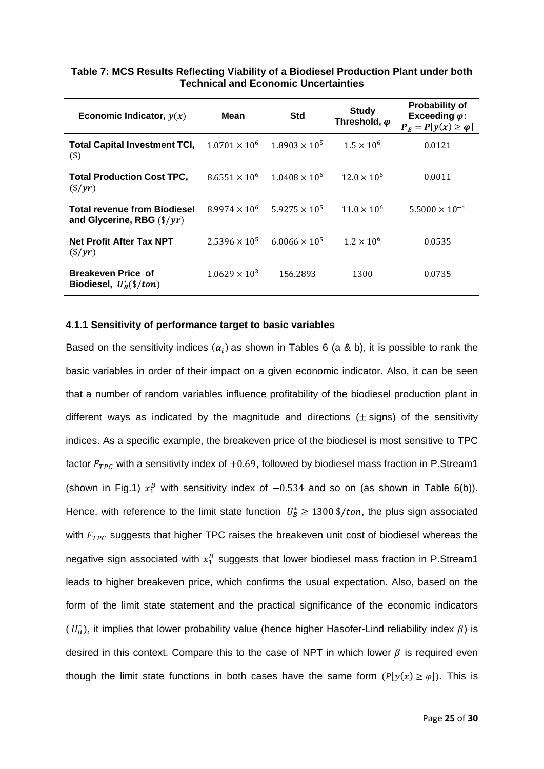| Economic Indicator, $y(x)$                                                 | Mean                   | <b>Std</b>             | <b>Study</b><br>Threshold, $\varphi$ | <b>Probability of</b><br>Exceeding $\varphi$ :<br>$P_E = P[y(x) \ge \varphi]$ |
|----------------------------------------------------------------------------|------------------------|------------------------|--------------------------------------|-------------------------------------------------------------------------------|
| <b>Total Capital Investment TCI,</b><br>$($ \$)                            | $1.0701 \times 10^6$   | $1.8903 \times 10^{5}$ | $1.5 \times 10^{6}$                  | 0.0121                                                                        |
| <b>Total Production Cost TPC,</b><br>$(\frac{\sqrt{3}}{yr})$               | $8.6551 \times 10^6$   | $1.0408 \times 10^6$   | $12.0 \times 10^{6}$                 | 0.0011                                                                        |
| <b>Total revenue from Biodiesel</b><br>and Glycerine, RBG $(\frac{2}{y}r)$ | $8.9974 \times 10^6$   | $5.9275 \times 10^{5}$ | $11.0 \times 10^{6}$                 | $5.5000 \times 10^{-4}$                                                       |
| <b>Net Profit After Tax NPT</b><br>$(\frac{\sqrt{3}}{yr})$                 | $2.5396 \times 10^{5}$ | $6.0066 \times 10^{5}$ | $1.2 \times 10^{6}$                  | 0.0535                                                                        |
| <b>Breakeven Price of</b><br>Biodiesel, $U_R^*(\frac{2}{3} / \tau$ on)     | $1.0629 \times 10^{3}$ | 156.2893               | 1300                                 | 0.0735                                                                        |

# **Table 7: MCS Results Reflecting Viability of a Biodiesel Production Plant under both Technical and Economic Uncertainties**

#### **4.1.1 Sensitivity of performance target to basic variables**

Based on the sensitivity indices  $(a_i)$  as shown in Tables 6 (a & b), it is possible to rank the basic variables in order of their impact on a given economic indicator. Also, it can be seen that a number of random variables influence profitability of the biodiesel production plant in different ways as indicated by the magnitude and directions  $(±$  signs) of the sensitivity indices. As a specific example, the breakeven price of the biodiesel is most sensitive to TPC factor  $F_{TPC}$  with a sensitivity index of +0.69, followed by biodiesel mass fraction in P.Stream1 (shown in Fig.1)  $x_1^B$  with sensitivity index of  $-0.534$  and so on (as shown in Table 6(b)). Hence, with reference to the limit state function  $U_B^* \geq 1300$  \$/ton, the plus sign associated with  $F_{TPC}$  suggests that higher TPC raises the breakeven unit cost of biodiesel whereas the negative sign associated with  $x_1^B$  suggests that lower biodiesel mass fraction in P.Stream1 leads to higher breakeven price, which confirms the usual expectation. Also, based on the form of the limit state statement and the practical significance of the economic indicators  $(U_B^*)$ , it implies that lower probability value (hence higher Hasofer-Lind reliability index  $\beta$ ) is desired in this context. Compare this to the case of NPT in which lower  $\beta$  is required even though the limit state functions in both cases have the same form  $(P[y(x) \ge \varphi])$ . This is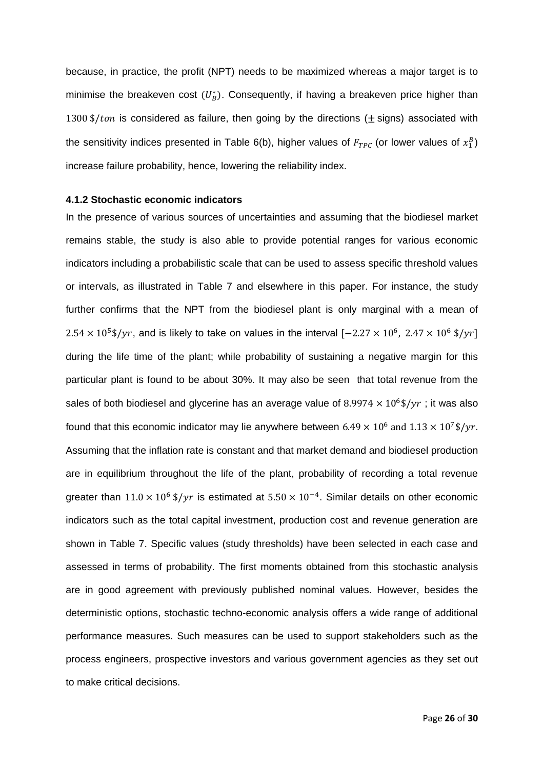because, in practice, the profit (NPT) needs to be maximized whereas a major target is to minimise the breakeven cost  $(U_B^*)$ . Consequently, if having a breakeven price higher than 1300 \$/ $ton$  is considered as failure, then going by the directions ( $\pm$  signs) associated with the sensitivity indices presented in Table 6(b), higher values of  $F_{TPC}$  (or lower values of  $x_1^B$ ) increase failure probability, hence, lowering the reliability index.

#### **4.1.2 Stochastic economic indicators**

In the presence of various sources of uncertainties and assuming that the biodiesel market remains stable, the study is also able to provide potential ranges for various economic indicators including a probabilistic scale that can be used to assess specific threshold values or intervals, as illustrated in Table 7 and elsewhere in this paper. For instance, the study further confirms that the NPT from the biodiesel plant is only marginal with a mean of  $2.54 \times 10^5$ \$/yr, and is likely to take on values in the interval  $[-2.27 \times 10^6, 2.47 \times 10^6$  \$/yr] during the life time of the plant; while probability of sustaining a negative margin for this particular plant is found to be about 30%. It may also be seen that total revenue from the sales of both biodiesel and glycerine has an average value of  $8.9974 \times 10^6$ \$/ $yr$ ; it was also found that this economic indicator may lie anywhere between 6.49  $\times$  10<sup>6</sup> and 1.13  $\times$  10<sup>7</sup>\$/yr. Assuming that the inflation rate is constant and that market demand and biodiesel production are in equilibrium throughout the life of the plant, probability of recording a total revenue greater than  $11.0 \times 10^6$  \$/yr is estimated at  $5.50 \times 10^{-4}$ . Similar details on other economic indicators such as the total capital investment, production cost and revenue generation are shown in Table 7. Specific values (study thresholds) have been selected in each case and assessed in terms of probability. The first moments obtained from this stochastic analysis are in good agreement with previously published nominal values. However, besides the deterministic options, stochastic techno-economic analysis offers a wide range of additional performance measures. Such measures can be used to support stakeholders such as the process engineers, prospective investors and various government agencies as they set out to make critical decisions.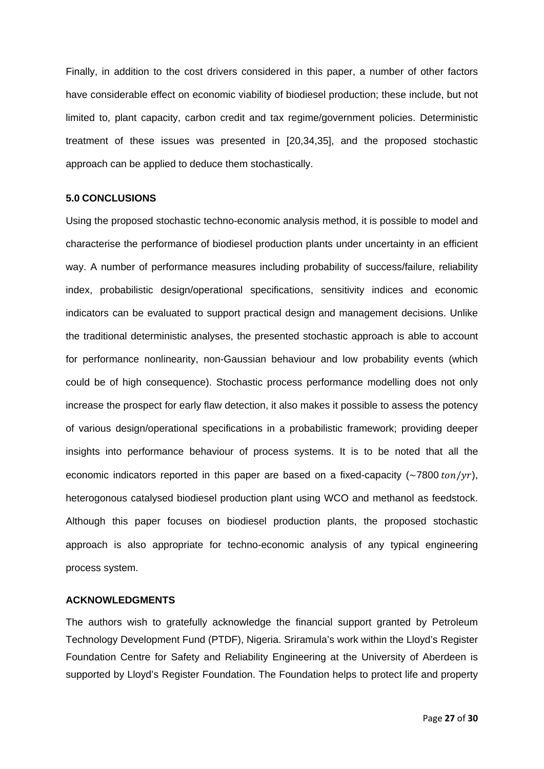Finally, in addition to the cost drivers considered in this paper, a number of other factors have considerable effect on economic viability of biodiesel production; these include, but not limited to, plant capacity, carbon credit and tax regime/government policies. Deterministic treatment of these issues was presented in [20,34,35], and the proposed stochastic approach can be applied to deduce them stochastically.

# **5.0 CONCLUSIONS**

Using the proposed stochastic techno-economic analysis method, it is possible to model and characterise the performance of biodiesel production plants under uncertainty in an efficient way. A number of performance measures including probability of success/failure, reliability index, probabilistic design/operational specifications, sensitivity indices and economic indicators can be evaluated to support practical design and management decisions. Unlike the traditional deterministic analyses, the presented stochastic approach is able to account for performance nonlinearity, non-Gaussian behaviour and low probability events (which could be of high consequence). Stochastic process performance modelling does not only increase the prospect for early flaw detection, it also makes it possible to assess the potency of various design/operational specifications in a probabilistic framework; providing deeper insights into performance behaviour of process systems. It is to be noted that all the economic indicators reported in this paper are based on a fixed-capacity ( $\sim$ 7800  $tan/yr$ ), heterogonous catalysed biodiesel production plant using WCO and methanol as feedstock. Although this paper focuses on biodiesel production plants, the proposed stochastic approach is also appropriate for techno-economic analysis of any typical engineering process system.

## **ACKNOWLEDGMENTS**

The authors wish to gratefully acknowledge the financial support granted by Petroleum Technology Development Fund (PTDF), Nigeria. Sriramula's work within the Lloyd's Register Foundation Centre for Safety and Reliability Engineering at the University of Aberdeen is supported by Lloyd's Register Foundation. The Foundation helps to protect life and property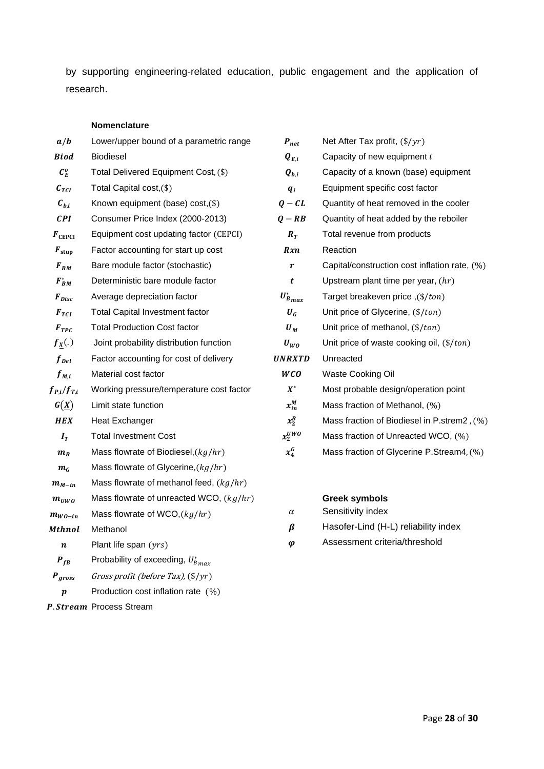by supporting engineering-related education, public engagement and the application of research.

## **Nomenclature**

| Lower/upper bound of a parametric range      | $P_{net}$                 | Net After Tax profit, $(\frac{4}{y^2})$   |
|----------------------------------------------|---------------------------|-------------------------------------------|
| Biodiesel                                    | $Q_{E.i}$                 | Capacity of new equipment i               |
| Total Delivered Equipment Cost, (\$)         | $\boldsymbol{Q}_{b,i}$    | Capacity of a known (base) equipment      |
| Total Capital cost, (\$)                     | $q_i$                     | Equipment specific cost factor            |
| Known equipment (base) cost, (\$)            | $Q-CL$                    | Quantity of heat removed in the cooler    |
| Consumer Price Index (2000-2013)             | $Q - RB$                  | Quantity of heat added by the reboiler    |
| Equipment cost updating factor (CEPCI)       | $R_T$                     | Total revenue from products               |
| Factor accounting for start up cost          | Rxn                       | Reaction                                  |
| Bare module factor (stochastic)              | r                         | Capital/construction cost inflation rate, |
| Deterministic bare module factor             | t                         | Upstream plant time per year, $(hr)$      |
| Average depreciation factor                  | $\boldsymbol{U}_{Bmax}^*$ | Target breakeven price , (\$/ton)         |
| <b>Total Capital Investment factor</b>       | $U_G$                     | Unit price of Glycerine, (\$/ton)         |
| <b>Total Production Cost factor</b>          | $U_M$                     | Unit price of methanol, (\$/ton)          |
| Joint probability distribution function      | $U_{W0}$                  | Unit price of waste cooking oil, (\$/ton) |
| Factor accounting for cost of delivery       | <b>UNRXTD</b>             | Unreacted                                 |
| Material cost factor                         | <b>WCO</b>                | Waste Cooking Oil                         |
| Working pressure/temperature cost factor     | $\underline{X}^*$         | Most probable design/operation point      |
| Limit state function                         | $x_{in}^M$                | Mass fraction of Methanol, (%)            |
| <b>Heat Exchanger</b>                        | $x_2^B$                   | Mass fraction of Biodiesel in P.strem2,   |
| <b>Total Investment Cost</b>                 | $x_2^{UWO}$               | Mass fraction of Unreacted WCO, (%)       |
| Mass flowrate of Biodiesel, $(kg/hr)$        | $x_4^G$                   | Mass fraction of Glycerine P.Stream4, (   |
| Mass flowrate of Glycerine, $(kg/hr)$        |                           |                                           |
| Mass flowrate of methanol feed, $(kg/hr)$    |                           |                                           |
| Mass flowrate of unreacted WCO, $(kg/hr)$    |                           | <b>Greek symbols</b>                      |
| Mass flowrate of WCO, $(kg/hr)$              | $\alpha$                  | Sensitivity index                         |
| Methanol                                     | β                         | Hasofer-Lind (H-L) reliability index      |
| Plant life span (yrs)                        | φ                         | Assessment criteria/threshold             |
| Probability of exceeding, $U_{Bmax}^*$       |                           |                                           |
| Gross profit (before Tax), $(\frac{1}{2}yr)$ |                           |                                           |
| Production cost inflation rate (%)           |                           |                                           |
|                                              |                           |                                           |

P. Stream Process Stream

| a/b                                              | Lower/upper bound of a parametric range  | $P_{net}$                 | Net After Tax profit, $(\frac{4}{y^2})$       |
|--------------------------------------------------|------------------------------------------|---------------------------|-----------------------------------------------|
| Biod                                             | <b>Biodiesel</b>                         | $\bm{Q}_{E,i}$            | Capacity of new equipment i                   |
| $\mathcal{C}_E^o$                                | Total Delivered Equipment Cost, (\$)     | $\boldsymbol{Q}_{b,i}$    | Capacity of a known (base) equipment          |
| $\pmb{c}_{\pmb{r} \pmb{c_I}}$                    | Total Capital cost, (\$)                 | $q_i$                     | Equipment specific cost factor                |
| $c_{\scriptscriptstyle b,i}$                     | Known equipment (base) cost, (\$)        | $Q-CL$                    | Quantity of heat removed in the cooler        |
| CPI                                              | Consumer Price Index (2000-2013)         | $Q - RB$                  | Quantity of heat added by the reboiler        |
| <sup>7</sup> cepci                               | Equipment cost updating factor (CEPCI)   | $R_T$                     | Total revenue from products                   |
| $\textcolor{red}{\mathbf{F}_\text{stup}}$        | Factor accounting for start up cost      | Rxn                       | Reaction                                      |
| $\bm{F}_{\bm{B}\bm{M}}$                          | Bare module factor (stochastic)          | r                         | Capital/construction cost inflation rate, (%) |
| $\bm{F}^*_{\bm{B}\bm{M}}$                        | Deterministic bare module factor         | t                         | Upstream plant time per year, $(hr)$          |
| $\mathbf{F}_{Disc}$                              | Average depreciation factor              | $\boldsymbol{U}_{Bmax}^*$ | Target breakeven price , (\$/ton)             |
| $\bm{F_{TCI}}$                                   | <b>Total Capital Investment factor</b>   | $U_G$                     | Unit price of Glycerine, (\$/ton)             |
| $\bm{F_{TPC}}$                                   | <b>Total Production Cost factor</b>      | $U_M$                     | Unit price of methanol, (\$/ton)              |
| $f_{\underline{X}}(.)$                           | Joint probability distribution function  | $U_{WQ}$                  | Unit price of waste cooking oil, (\$/ton)     |
| f <sub>Del</sub>                                 | Factor accounting for cost of delivery   | <b>UNRXTD</b>             | Unreacted                                     |
| $\boldsymbol{f}_{\boldsymbol{M},\boldsymbol{i}}$ | Material cost factor                     | <b>WCO</b>                | Waste Cooking Oil                             |
| $\mathbf{P}_{i}/\boldsymbol{f}_{T,i}$            | Working pressure/temperature cost factor | $\underline{X}^*$         | Most probable design/operation point          |
| $G(\underline{X})$                               | Limit state function                     | $x_{in}^M$                | Mass fraction of Methanol, (%)                |
| HEX                                              | Heat Exchanger                           | $x_2^B$                   | Mass fraction of Biodiesel in P.strem2, (%)   |
| $I_T$                                            | <b>Total Investment Cost</b>             | $x_2^{UWO}$               | Mass fraction of Unreacted WCO, (%)           |
| $m_B$                                            | Mass flowrate of Biodiesel, $(kg/hr)$    | $x_4^G$                   | Mass fraction of Glycerine P.Stream4, (%)     |
| $m_{\alpha}$                                     | Mass flowrate of Glycerine $(ka/hr)$     |                           |                                               |

| <b>Greek symbols</b>         |
|------------------------------|
| Sensitivity index            |
| Hasofer-Lind (H-L) reliabili |
| Assessment criteria/thresh   |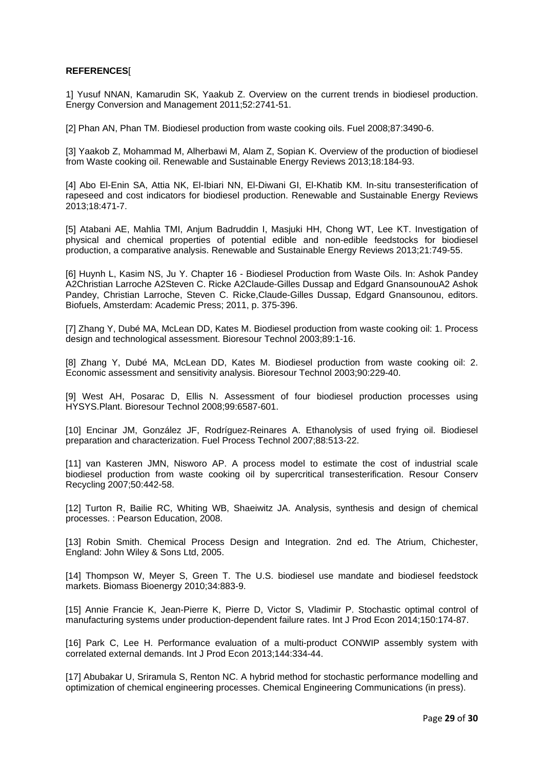## **REFERENCES**[

1] Yusuf NNAN, Kamarudin SK, Yaakub Z. Overview on the current trends in biodiesel production. Energy Conversion and Management 2011;52:2741-51.

[2] Phan AN, Phan TM. Biodiesel production from waste cooking oils. Fuel 2008;87:3490-6.

[3] Yaakob Z, Mohammad M, Alherbawi M, Alam Z, Sopian K. Overview of the production of biodiesel from Waste cooking oil. Renewable and Sustainable Energy Reviews 2013;18:184-93.

[4] Abo El-Enin SA, Attia NK, El-Ibiari NN, El-Diwani GI, El-Khatib KM. In-situ transesterification of rapeseed and cost indicators for biodiesel production. Renewable and Sustainable Energy Reviews 2013;18:471-7.

[5] Atabani AE, Mahlia TMI, Anjum Badruddin I, Masjuki HH, Chong WT, Lee KT. Investigation of physical and chemical properties of potential edible and non-edible feedstocks for biodiesel production, a comparative analysis. Renewable and Sustainable Energy Reviews 2013;21:749-55.

[6] Huynh L, Kasim NS, Ju Y. Chapter 16 - Biodiesel Production from Waste Oils. In: Ashok Pandey A2Christian Larroche A2Steven C. Ricke A2Claude-Gilles Dussap and Edgard GnansounouA2 Ashok Pandey, Christian Larroche, Steven C. Ricke,Claude-Gilles Dussap, Edgard Gnansounou, editors. Biofuels, Amsterdam: Academic Press; 2011, p. 375-396.

[7] Zhang Y, Dubé MA, McLean DD, Kates M. Biodiesel production from waste cooking oil: 1. Process design and technological assessment. Bioresour Technol 2003;89:1-16.

[8] Zhang Y, Dubé MA, McLean DD, Kates M. Biodiesel production from waste cooking oil: 2. Economic assessment and sensitivity analysis. Bioresour Technol 2003;90:229-40.

[9] West AH, Posarac D, Ellis N. Assessment of four biodiesel production processes using HYSYS.Plant. Bioresour Technol 2008;99:6587-601.

[10] Encinar JM, González JF, Rodríguez-Reinares A. Ethanolysis of used frying oil. Biodiesel preparation and characterization. Fuel Process Technol 2007;88:513-22.

[11] van Kasteren JMN, Nisworo AP. A process model to estimate the cost of industrial scale biodiesel production from waste cooking oil by supercritical transesterification. Resour Conserv Recycling 2007;50:442-58.

[12] Turton R, Bailie RC, Whiting WB, Shaeiwitz JA. Analysis, synthesis and design of chemical processes. : Pearson Education, 2008.

[13] Robin Smith. Chemical Process Design and Integration. 2nd ed. The Atrium, Chichester, England: John Wiley & Sons Ltd, 2005.

[14] Thompson W, Meyer S, Green T. The U.S. biodiesel use mandate and biodiesel feedstock markets. Biomass Bioenergy 2010;34:883-9.

[15] Annie Francie K, Jean-Pierre K, Pierre D, Victor S, Vladimir P. Stochastic optimal control of manufacturing systems under production-dependent failure rates. Int J Prod Econ 2014;150:174-87.

[16] Park C, Lee H. Performance evaluation of a multi-product CONWIP assembly system with correlated external demands. Int J Prod Econ 2013;144:334-44.

[17] Abubakar U, Sriramula S, Renton NC. A hybrid method for stochastic performance modelling and optimization of chemical engineering processes. Chemical Engineering Communications (in press).